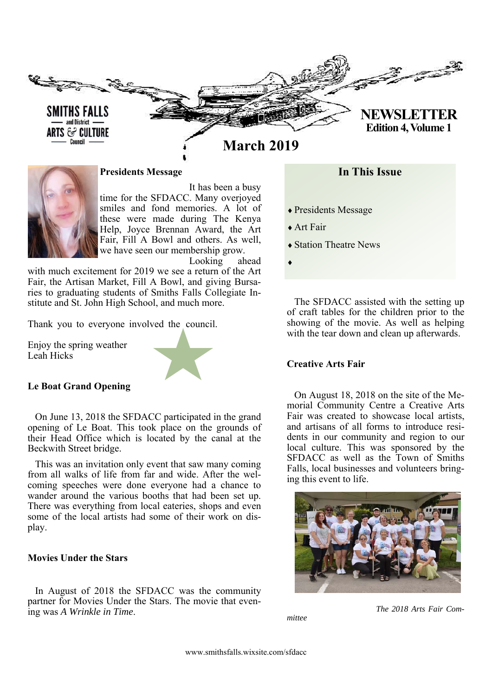



**Presidents Message** 

 It has been a busy time for the SFDACC. Many overjoyed

smiles and fond memories. A lot of these were made during The Kenya Help, Joyce Brennan Award, the Art Fair, Fill A Bowl and others. As well, we have seen our membership grow. Looking ahead

with much excitement for 2019 we see a return of the Art Fair, the Artisan Market, Fill A Bowl, and giving Bursaries to graduating students of Smiths Falls Collegiate Institute and St. John High School, and much more.

Thank you to everyone involved the council.

Enjoy the spring weather Leah Hicks



#### **Le Boat Grand Opening**

On June 13, 2018 the SFDACC participated in the grand opening of Le Boat. This took place on the grounds of their Head Office which is located by the canal at the Beckwith Street bridge.

This was an invitation only event that saw many coming from all walks of life from far and wide. After the welcoming speeches were done everyone had a chance to wander around the various booths that had been set up. There was everything from local eateries, shops and even some of the local artists had some of their work on display.

## **Movies Under the Stars**

In August of 2018 the SFDACC was the community partner for Movies Under the Stars. The movie that evening was *A Wrinkle in Time*.

## **In This Issue**

- Presidents Message
- Art Fair
- ◆ Station Theatre News

 $\blacklozenge$ 

The SFDACC assisted with the setting up of craft tables for the children prior to the showing of the movie. As well as helping with the tear down and clean up afterwards.

#### **Creative Arts Fair**

On August 18, 2018 on the site of the Memorial Community Centre a Creative Arts Fair was created to showcase local artists, and artisans of all forms to introduce residents in our community and region to our local culture. This was sponsored by the SFDACC as well as the Town of Smiths Falls, local businesses and volunteers bringing this event to life.



*mittee* 

 *The 2018 Arts Fair Com-*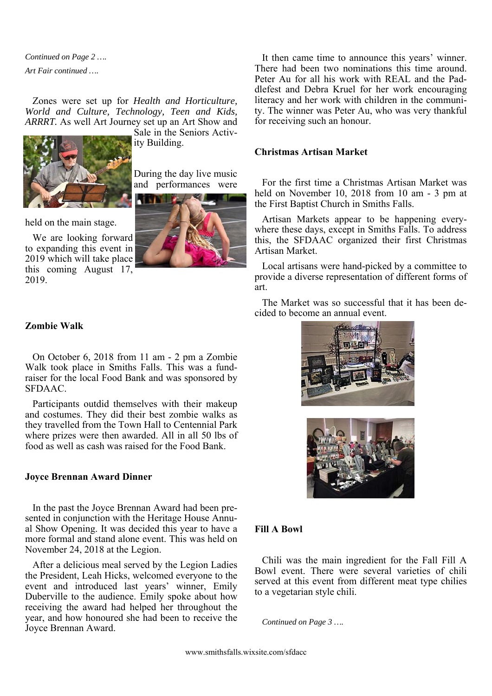*Continued on Page 2 …. Art Fair continued ….* 

Zones were set up for *Health and Horticulture, World and Culture, Technology, Teen and Kids, ARRRT.* As well Art Journey set up an Art Show and



Sale in the Seniors Activity Building.

During the day live music and performances were

held on the main stage.

We are looking forward to expanding this event in 2019 which will take place this coming August 17, 2019.

#### **Zombie Walk**

On October 6, 2018 from 11 am - 2 pm a Zombie Walk took place in Smiths Falls. This was a fundraiser for the local Food Bank and was sponsored by SFDAAC.

Participants outdid themselves with their makeup and costumes. They did their best zombie walks as they travelled from the Town Hall to Centennial Park where prizes were then awarded. All in all 50 lbs of food as well as cash was raised for the Food Bank.

#### **Joyce Brennan Award Dinner**

In the past the Joyce Brennan Award had been presented in conjunction with the Heritage House Annual Show Opening. It was decided this year to have a more formal and stand alone event. This was held on November 24, 2018 at the Legion.

After a delicious meal served by the Legion Ladies the President, Leah Hicks, welcomed everyone to the event and introduced last years' winner, Emily Duberville to the audience. Emily spoke about how receiving the award had helped her throughout the year, and how honoured she had been to receive the Joyce Brennan Award.

It then came time to announce this years' winner. There had been two nominations this time around. Peter Au for all his work with REAL and the Paddlefest and Debra Kruel for her work encouraging literacy and her work with children in the community. The winner was Peter Au, who was very thankful for receiving such an honour.

## **Christmas Artisan Market**

For the first time a Christmas Artisan Market was held on November 10, 2018 from 10 am - 3 pm at the First Baptist Church in Smiths Falls.

Artisan Markets appear to be happening everywhere these days, except in Smiths Falls. To address this, the SFDAAC organized their first Christmas Artisan Market.

Local artisans were hand-picked by a committee to provide a diverse representation of different forms of art.

The Market was so successful that it has been decided to become an annual event.





## **Fill A Bowl**

Chili was the main ingredient for the Fall Fill A Bowl event. There were several varieties of chili served at this event from different meat type chilies to a vegetarian style chili.

*Continued on Page 3 ….*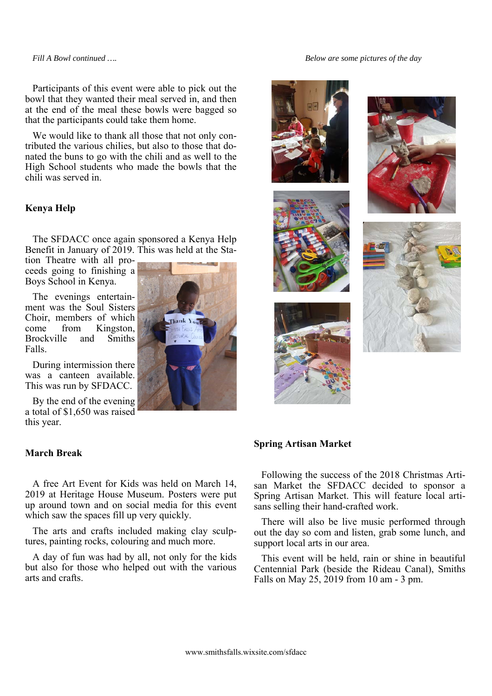*Fill A Bowl continued ….* 

*Below are some pictures of the day* 

Participants of this event were able to pick out the bowl that they wanted their meal served in, and then at the end of the meal these bowls were bagged so that the participants could take them home.

We would like to thank all those that not only contributed the various chilies, but also to those that donated the buns to go with the chili and as well to the High School students who made the bowls that the chili was served in.

#### **Kenya Help**

The SFDACC once again sponsored a Kenya Help Benefit in January of 2019. This was held at the Sta-

tion Theatre with all proceeds going to finishing a Boys School in Kenya.

The evenings entertainment was the Soul Sisters Choir, members of which come from Kingston, Brockville and Smiths Falls.

During intermission there was a canteen available. This was run by SFDACC.

By the end of the evening a total of \$1,650 was raised this year.

#### **March Break**

A free Art Event for Kids was held on March 14, 2019 at Heritage House Museum. Posters were put up around town and on social media for this event which saw the spaces fill up very quickly.

The arts and crafts included making clay sculptures, painting rocks, colouring and much more.

A day of fun was had by all, not only for the kids but also for those who helped out with the various arts and crafts.











#### **Spring Artisan Market**

Following the success of the 2018 Christmas Artisan Market the SFDACC decided to sponsor a Spring Artisan Market. This will feature local artisans selling their hand-crafted work.

There will also be live music performed through out the day so com and listen, grab some lunch, and support local arts in our area.

This event will be held, rain or shine in beautiful Centennial Park (beside the Rideau Canal), Smiths Falls on May 25, 2019 from 10 am - 3 pm.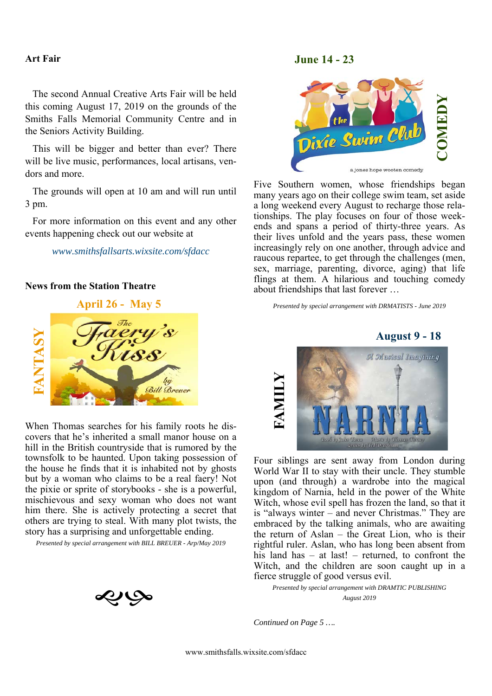#### **Art Fair**

The second Annual Creative Arts Fair will be held this coming August 17, 2019 on the grounds of the Smiths Falls Memorial Community Centre and in the Seniors Activity Building.

This will be bigger and better than ever? There will be live music, performances, local artisans, vendors and more.

The grounds will open at 10 am and will run until 3 pm.

For more information on this event and any other events happening check out our website at

#### *www.smithsfallsarts.wixsite.com/sfdacc*

## **News from the Station Theatre**



When Thomas searches for his family roots he discovers that he's inherited a small manor house on a hill in the British countryside that is rumored by the townsfolk to be haunted. Upon taking possession of the house he finds that it is inhabited not by ghosts but by a woman who claims to be a real faery! Not the pixie or sprite of storybooks - she is a powerful, mischievous and sexy woman who does not want him there. She is actively protecting a secret that others are trying to steal. With many plot twists, the story has a surprising and unforgettable ending.

*Presented by special arrangement with BILL BREUER - Arp/May 2019* 



## **June 14 - 23**



Five Southern women, whose friendships began many years ago on their college swim team, set aside a long weekend every August to recharge those relationships. The play focuses on four of those weekends and spans a period of thirty-three years. As their lives unfold and the years pass, these women increasingly rely on one another, through advice and raucous repartee, to get through the challenges (men, sex, marriage, parenting, divorce, aging) that life flings at them. A hilarious and touching comedy about friendships that last forever …

*Presented by special arrangement with DRMATISTS - June 2019* 



Four siblings are sent away from London during World War II to stay with their uncle. They stumble upon (and through) a wardrobe into the magical kingdom of Narnia, held in the power of the White Witch, whose evil spell has frozen the land, so that it is "always winter – and never Christmas." They are embraced by the talking animals, who are awaiting the return of Aslan – the Great Lion, who is their rightful ruler. Aslan, who has long been absent from his land has – at last! – returned, to confront the Witch, and the children are soon caught up in a fierce struggle of good versus evil.

*Presented by special arrangement with DRAMTIC PUBLISHING August 2019* 

*Continued on Page 5 ….*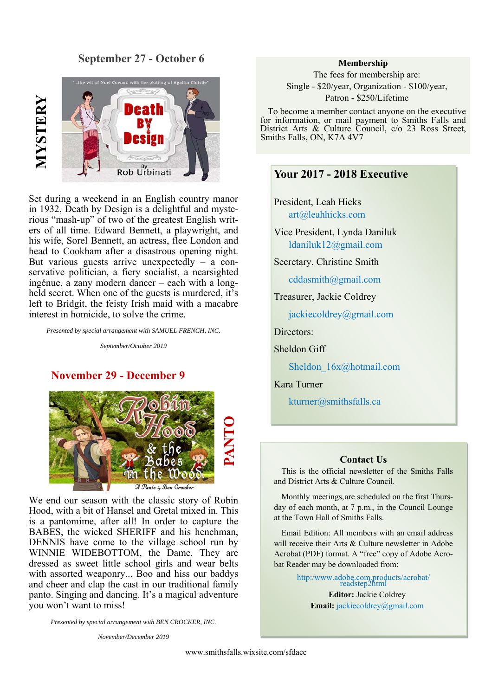# **September 27 - October 6**



Set during a weekend in an English country manor in 1932, Death by Design is a delightful and mysterious "mash-up" of two of the greatest English writers of all time. Edward Bennett, a playwright, and his wife, Sorel Bennett, an actress, flee London and head to Cookham after a disastrous opening night. But various guests arrive unexpectedly – a conservative politician, a fiery socialist, a nearsighted ingénue, a zany modern dancer – each with a longheld secret. When one of the guests is murdered, it's left to Bridgit, the feisty Irish maid with a macabre interest in homicide, to solve the crime.

*Presented by special arrangement with SAMUEL FRENCH, INC.* 

*September/October 2019* 

## **November 29 - December 9**



We end our season with the classic story of Robin Hood, with a bit of Hansel and Gretal mixed in. This is a pantomime, after all! In order to capture the BABES, the wicked SHERIFF and his henchman, DENNIS have come to the village school run by WINNIE WIDEBOTTOM, the Dame. They are dressed as sweet little school girls and wear belts with assorted weaponry... Boo and hiss our baddys and cheer and clap the cast in our traditional family panto. Singing and dancing. It's a magical adventure you won't want to miss!

*Presented by special arrangement with BEN CROCKER, INC.* 

*November/December 2019* 

#### **Membership**

The fees for membership are: Single - \$20/year, Organization - \$100/year, Patron - \$250/Lifetime

To become a member contact anyone on the executive for information, or mail payment to Smiths Falls and District Arts & Culture Council, c/o 23 Ross Street, Smiths Falls, ON, K7A 4V7

# **Your 2017 - 2018 Executive**

President, Leah Hicks art@leahhicks.com

Vice President, Lynda Daniluk ldaniluk12@gmail.com

Secretary, Christine Smith

cddasmith@gmail.com

Treasurer, Jackie Coldrey

jackiecoldrey@gmail.com

Directors:

Sheldon Giff

Sheldon  $16x@hotmail.com$ 

Kara Turner

kturner@smithsfalls.ca

#### **Contact Us**

This is the official newsletter of the Smiths Falls and District Arts & Culture Council.

Monthly meetings, are scheduled on the first Thursday of each month, at 7 p.m., in the Council Lounge at the Town Hall of Smiths Falls.

Email Edition: All members with an email address will receive their Arts & Culture newsletter in Adobe Acrobat (PDF) format. A "free" copy of Adobe Acrobat Reader may be downloaded from:

> http:/www.adobe.com.products/acrobat/ readstep2html **Editor:** Jackie Coldrey **Email:** jackiecoldrey@gmail.com